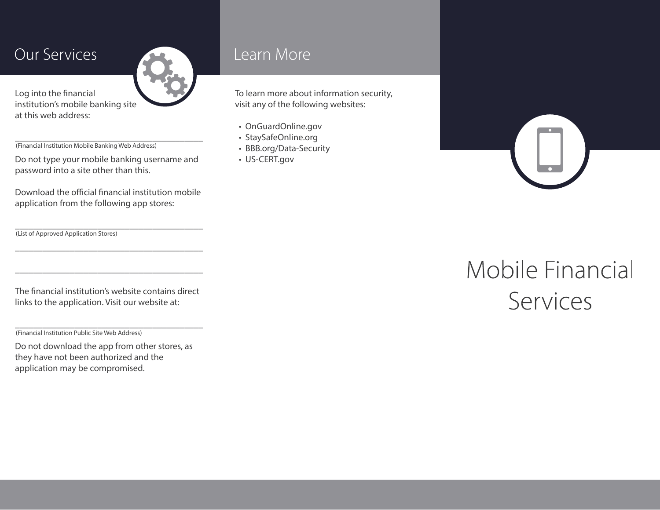### **Our Services**

Log into the financial institution's mobile banking site at this web address:

\_\_\_\_\_\_\_\_\_\_\_\_\_\_\_\_\_\_\_\_\_\_\_\_\_\_\_\_\_\_\_\_\_\_\_\_\_\_\_\_\_ (Financial Institution Mobile Banking Web Address)

Do not type your mobile banking username and password into a site other than this.

Download the official financial institution mobile application from the following app stores:

\_\_\_\_\_\_\_\_\_\_\_\_\_\_\_\_\_\_\_\_\_\_\_\_\_\_\_\_\_\_\_\_\_\_\_\_\_\_\_\_\_

\_\_\_\_\_\_\_\_\_\_\_\_\_\_\_\_\_\_\_\_\_\_\_\_\_\_\_\_\_\_\_\_\_\_\_\_\_\_\_\_\_

\_\_\_\_\_\_\_\_\_\_\_\_\_\_\_\_\_\_\_\_\_\_\_\_\_\_\_\_\_\_\_\_\_\_\_\_\_\_\_\_\_ (List of Approved Application Stores)

The financial institution's website contains direct links to the application. Visit our website at:

\_\_\_\_\_\_\_\_\_\_\_\_\_\_\_\_\_\_\_\_\_\_\_\_\_\_\_\_\_\_\_\_\_\_\_\_\_\_\_\_\_

(Financial Institution Public Site Web Address)

Do not download the app from other stores, as they have not been authorized and the application may be compromised.

### Learn More

To learn more about information security, visit any of the following websites:

- OnGuardOnline.gov
- StaySafeOnline.org
- BBB.org/Data-Security
- US-CERT.gov

Mobile Financial Services